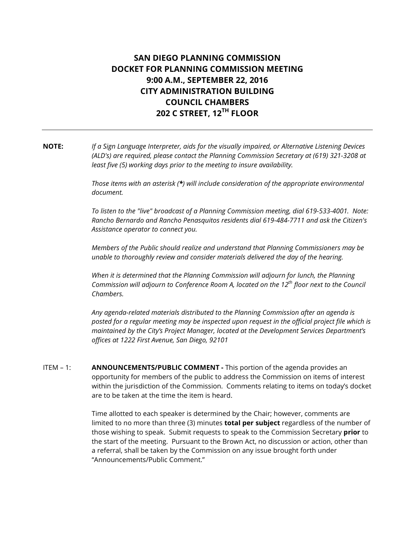# SAN DIEGO PLANNING COMMISSION DOCKET FOR PLANNING COMMISSION MEETING 9:00 A.M., SEPTEMBER 22, 2016 CITY ADMINISTRATION BUILDING COUNCIL CHAMBERS 202 C STREET, 12TH FLOOR

## NOTE: If a Sign Language Interpreter, aids for the visually impaired, or Alternative Listening Devices (ALD's) are required, please contact the Planning Commission Secretary at (619) 321-3208 at least five (5) working days prior to the meeting to insure availability.

Those items with an asterisk  $(*)$  will include consideration of the appropriate environmental document.

To listen to the "live" broadcast of a Planning Commission meeting, dial 619-533-4001. Note: Rancho Bernardo and Rancho Penasquitos residents dial 619-484-7711 and ask the Citizen's Assistance operator to connect you.

Members of the Public should realize and understand that Planning Commissioners may be unable to thoroughly review and consider materials delivered the day of the hearing.

When it is determined that the Planning Commission will adjourn for lunch, the Planning Commission will adjourn to Conference Room A, located on the  $12^{th}$  floor next to the Council Chambers.

Any agenda-related materials distributed to the Planning Commission after an agenda is posted for a regular meeting may be inspected upon request in the official project file which is maintained by the City's Project Manager, located at the Development Services Department's offices at 1222 First Avenue, San Diego, 92101

ITEM - 1: **ANNOUNCEMENTS/PUBLIC COMMENT** - This portion of the agenda provides an opportunity for members of the public to address the Commission on items of interest within the jurisdiction of the Commission. Comments relating to items on today's docket are to be taken at the time the item is heard.

> Time allotted to each speaker is determined by the Chair; however, comments are limited to no more than three (3) minutes **total per subject** regardless of the number of those wishing to speak. Submit requests to speak to the Commission Secretary prior to the start of the meeting. Pursuant to the Brown Act, no discussion or action, other than a referral, shall be taken by the Commission on any issue brought forth under "Announcements/Public Comment."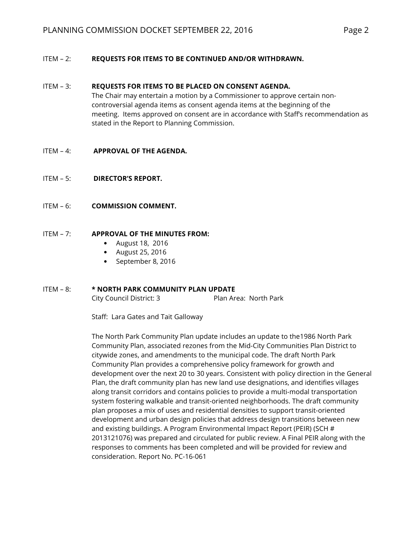## ITEM – 2: REQUESTS FOR ITEMS TO BE CONTINUED AND/OR WITHDRAWN.

#### ITEM – 3: REQUESTS FOR ITEMS TO BE PLACED ON CONSENT AGENDA.

 The Chair may entertain a motion by a Commissioner to approve certain noncontroversial agenda items as consent agenda items at the beginning of the meeting. Items approved on consent are in accordance with Staff's recommendation as stated in the Report to Planning Commission.

#### ITEM – 4: APPROVAL OF THE AGENDA.

- ITEM 5: DIRECTOR'S REPORT.
- ITEM 6: **COMMISSION COMMENT.**

#### ITEM – 7: APPROVAL OF THE MINUTES FROM:

- August 18, 2016
- August 25, 2016
- September 8, 2016

#### ITEM - 8: \* NORTH PARK COMMUNITY PLAN UPDATE

City Council District: 3 Plan Area: North Park

Staff: Lara Gates and Tait Galloway

 The North Park Community Plan update includes an update to the1986 North Park Community Plan, associated rezones from the Mid-City Communities Plan District to citywide zones, and amendments to the municipal code. The draft North Park Community Plan provides a comprehensive policy framework for growth and development over the next 20 to 30 years. Consistent with policy direction in the General Plan, the draft community plan has new land use designations, and identifies villages along transit corridors and contains policies to provide a multi-modal transportation system fostering walkable and transit-oriented neighborhoods. The draft community plan proposes a mix of uses and residential densities to support transit-oriented development and urban design policies that address design transitions between new and existing buildings. A Program Environmental Impact Report (PEIR) (SCH # 2013121076) was prepared and circulated for public review. A Final PEIR along with the responses to comments has been completed and will be provided for review and consideration. Report No. PC-16-061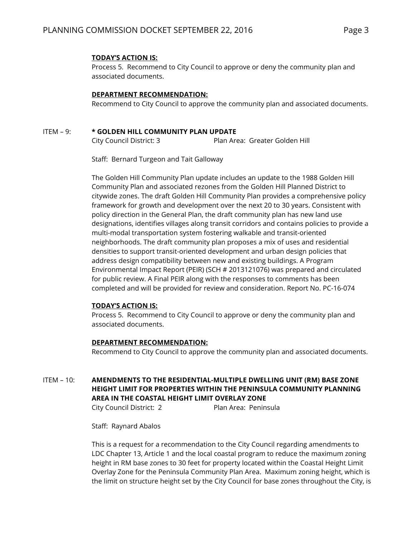## TODAY'S ACTION IS:

 Process 5. Recommend to City Council to approve or deny the community plan and associated documents.

### DEPARTMENT RECOMMENDATION:

Recommend to City Council to approve the community plan and associated documents.

## ITEM - 9: \* GOLDEN HILL COMMUNITY PLAN UPDATE

City Council District: 3 Plan Area: Greater Golden Hill

Staff: Bernard Turgeon and Tait Galloway

 The Golden Hill Community Plan update includes an update to the 1988 Golden Hill Community Plan and associated rezones from the Golden Hill Planned District to citywide zones. The draft Golden Hill Community Plan provides a comprehensive policy framework for growth and development over the next 20 to 30 years. Consistent with policy direction in the General Plan, the draft community plan has new land use designations, identifies villages along transit corridors and contains policies to provide a multi-modal transportation system fostering walkable and transit-oriented neighborhoods. The draft community plan proposes a mix of uses and residential densities to support transit-oriented development and urban design policies that address design compatibility between new and existing buildings. A Program Environmental Impact Report (PEIR) (SCH # 2013121076) was prepared and circulated for public review. A Final PEIR along with the responses to comments has been completed and will be provided for review and consideration. Report No. PC-16-074

#### TODAY'S ACTION IS:

 Process 5. Recommend to City Council to approve or deny the community plan and associated documents.

#### DEPARTMENT RECOMMENDATION:

Recommend to City Council to approve the community plan and associated documents.

## ITEM – 10: AMENDMENTS TO THE RESIDENTIAL-MULTIPLE DWELLING UNIT (RM) BASE ZONE HEIGHT LIMIT FOR PROPERTIES WITHIN THE PENINSULA COMMUNITY PLANNING AREA IN THE COASTAL HEIGHT LIMIT OVERLAY ZONE

City Council District: 2 Plan Area: Peninsula

Staff: Raynard Abalos

 This is a request for a recommendation to the City Council regarding amendments to LDC Chapter 13, Article 1 and the local coastal program to reduce the maximum zoning height in RM base zones to 30 feet for property located within the Coastal Height Limit Overlay Zone for the Peninsula Community Plan Area. Maximum zoning height, which is the limit on structure height set by the City Council for base zones throughout the City, is